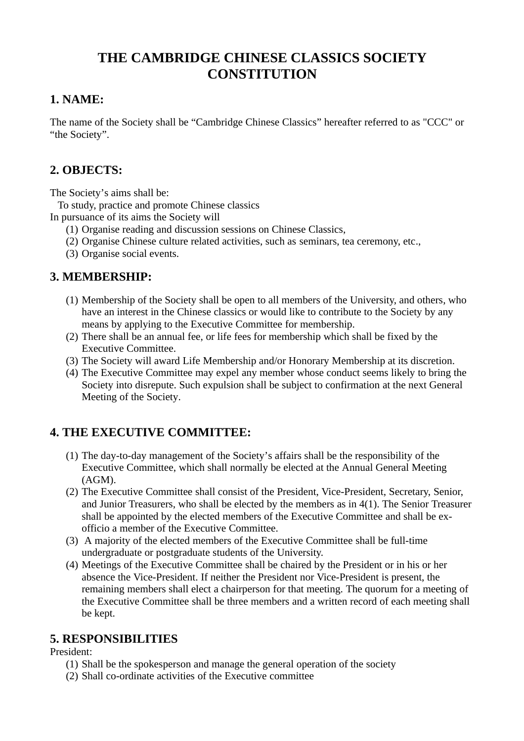# **THE CAMBRIDGE CHINESE CLASSICS SOCIETY CONSTITUTION**

### **1. NAME:**

The name of the Society shall be "Cambridge Chinese Classics" hereafter referred to as "CCC" or "the Society".

# **2. OBJECTS:**

The Society's aims shall be:

To study, practice and promote Chinese classics

In pursuance of its aims the Society will

- (1) Organise reading and discussion sessions on Chinese Classics,
- (2) Organise Chinese culture related activities, such as seminars, tea ceremony, etc.,
- (3) Organise social events.

### **3. MEMBERSHIP:**

- (1) Membership of the Society shall be open to all members of the University, and others, who have an interest in the Chinese classics or would like to contribute to the Society by any means by applying to the Executive Committee for membership.
- (2) There shall be an annual fee, or life fees for membership which shall be fixed by the Executive Committee.
- (3) The Society will award Life Membership and/or Honorary Membership at its discretion.
- (4) The Executive Committee may expel any member whose conduct seems likely to bring the Society into disrepute. Such expulsion shall be subject to confirmation at the next General Meeting of the Society.

# **4. THE EXECUTIVE COMMITTEE:**

- (1) The day-to-day management of the Society's affairs shall be the responsibility of the Executive Committee, which shall normally be elected at the Annual General Meeting (AGM).
- (2) The Executive Committee shall consist of the President, Vice-President, Secretary, Senior, and Junior Treasurers, who shall be elected by the members as in 4(1). The Senior Treasurer shall be appointed by the elected members of the Executive Committee and shall be exofficio a member of the Executive Committee.
- (3) A majority of the elected members of the Executive Committee shall be full-time undergraduate or postgraduate students of the University.
- (4) Meetings of the Executive Committee shall be chaired by the President or in his or her absence the Vice-President. If neither the President nor Vice-President is present, the remaining members shall elect a chairperson for that meeting. The quorum for a meeting of the Executive Committee shall be three members and a written record of each meeting shall be kept.

# **5. RESPONSIBILITIES**

President:

- (1) Shall be the spokesperson and manage the general operation of the society
- (2) Shall co-ordinate activities of the Executive committee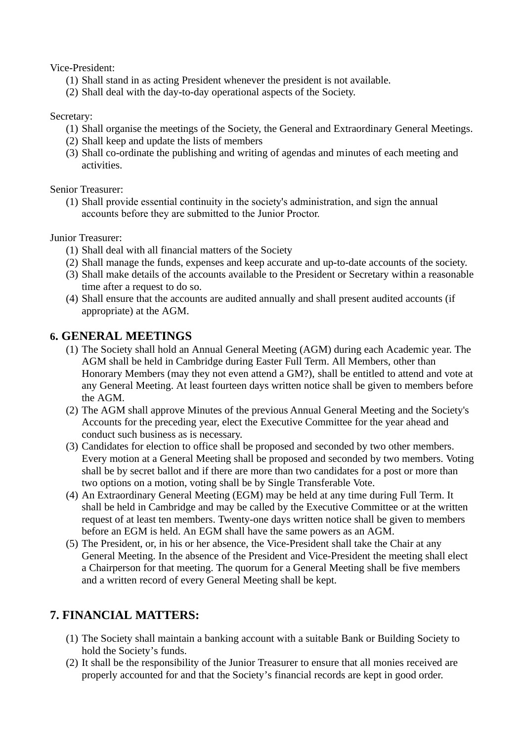Vice-President:

- (1) Shall stand in as acting President whenever the president is not available.
- (2) Shall deal with the day-to-day operational aspects of the Society.

#### Secretary:

- (1) Shall organise the meetings of the Society, the General and Extraordinary General Meetings.
- (2) Shall keep and update the lists of members
- (3) Shall co-ordinate the publishing and writing of agendas and minutes of each meeting and activities.

Senior Treasurer:

(1) Shall provide essential continuity in the society's administration, and sign the annual accounts before they are submitted to the Junior Proctor.

Junior Treasurer:

- (1) Shall deal with all financial matters of the Society
- (2) Shall manage the funds, expenses and keep accurate and up-to-date accounts of the society.
- (3) Shall make details of the accounts available to the President or Secretary within a reasonable time after a request to do so.
- (4) Shall ensure that the accounts are audited annually and shall present audited accounts (if appropriate) at the AGM.

### **6. GENERAL MEETINGS**

- (1) The Society shall hold an Annual General Meeting (AGM) during each Academic year. The AGM shall be held in Cambridge during Easter Full Term. All Members, other than Honorary Members (may they not even attend a GM?), shall be entitled to attend and vote at any General Meeting. At least fourteen days written notice shall be given to members before the AGM.
- (2) The AGM shall approve Minutes of the previous Annual General Meeting and the Society's Accounts for the preceding year, elect the Executive Committee for the year ahead and conduct such business as is necessary.
- (3) Candidates for election to office shall be proposed and seconded by two other members. Every motion at a General Meeting shall be proposed and seconded by two members. Voting shall be by secret ballot and if there are more than two candidates for a post or more than two options on a motion, voting shall be by Single Transferable Vote.
- (4) An Extraordinary General Meeting (EGM) may be held at any time during Full Term. It shall be held in Cambridge and may be called by the Executive Committee or at the written request of at least ten members. Twenty-one days written notice shall be given to members before an EGM is held. An EGM shall have the same powers as an AGM.
- (5) The President, or, in his or her absence, the Vice-President shall take the Chair at any General Meeting. In the absence of the President and Vice-President the meeting shall elect a Chairperson for that meeting. The quorum for a General Meeting shall be five members and a written record of every General Meeting shall be kept.

# **7. FINANCIAL MATTERS:**

- (1) The Society shall maintain a banking account with a suitable Bank or Building Society to hold the Society's funds.
- (2) It shall be the responsibility of the Junior Treasurer to ensure that all monies received are properly accounted for and that the Society's financial records are kept in good order.